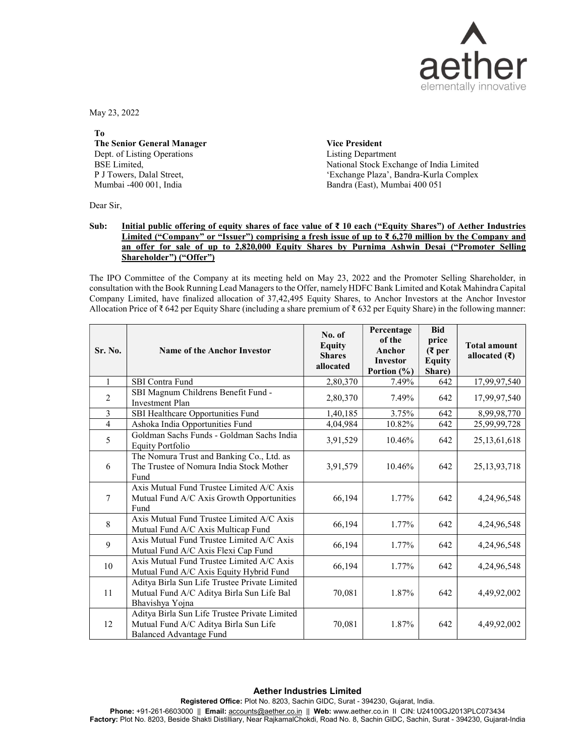

May 23, 2022

To The Senior General Manager Dept. of Listing Operations BSE Limited, P J Towers, Dalal Street, Mumbai -400 001, India

Vice President Listing Department National Stock Exchange of India Limited 'Exchange Plaza', Bandra-Kurla Complex Bandra (East), Mumbai 400 051

Dear Sir,

## Sub: Initial public offering of equity shares of face value of ₹ 10 each ("Equity Shares") of Aether Industries Limited ("Company" or "Issuer") comprising a fresh issue of up to ₹ 6,270 million by the Company and an offer for sale of up to 2,820,000 Equity Shares by Purnima Ashwin Desai ("Promoter Selling Shareholder") ("Offer")

The IPO Committee of the Company at its meeting held on May 23, 2022 and the Promoter Selling Shareholder, in consultation with the Book Running Lead Managers to the Offer, namely HDFC Bank Limited and Kotak Mahindra Capital Company Limited, have finalized allocation of 37,42,495 Equity Shares, to Anchor Investors at the Anchor Investor Allocation Price of ₹ 642 per Equity Share (including a share premium of ₹ 632 per Equity Share) in the following manner:

| Sr. No.          | <b>Name of the Anchor Investor</b>                                                                                       | No. of<br><b>Equity</b><br><b>Shares</b><br>allocated | Percentage<br>of the<br>Anchor<br>Investor<br>Portion $(\% )$ | <b>Bid</b><br>price<br>$(3$ per<br><b>Equity</b><br>Share) | <b>Total amount</b><br>allocated $(₹)$ |
|------------------|--------------------------------------------------------------------------------------------------------------------------|-------------------------------------------------------|---------------------------------------------------------------|------------------------------------------------------------|----------------------------------------|
|                  | <b>SBI</b> Contra Fund                                                                                                   | 2,80,370                                              | 7.49%                                                         | 642                                                        | 17,99,97,540                           |
| $\overline{2}$   | SBI Magnum Childrens Benefit Fund -<br><b>Investment Plan</b>                                                            | 2,80,370                                              | 7.49%                                                         | 642                                                        | 17,99,97,540                           |
| 3                | SBI Healthcare Opportunities Fund                                                                                        | 1,40,185                                              | 3.75%                                                         | 642                                                        | 8,99,98,770                            |
| $\overline{4}$   | Ashoka India Opportunities Fund                                                                                          | 4,04,984                                              | 10.82%                                                        | 642                                                        | 25,99,99,728                           |
| 5                | Goldman Sachs Funds - Goldman Sachs India<br>Equity Portfolio                                                            | 3,91,529                                              | 10.46%                                                        | 642                                                        | 25, 13, 61, 618                        |
| 6                | The Nomura Trust and Banking Co., Ltd. as<br>The Trustee of Nomura India Stock Mother<br>Fund                            | 3,91,579                                              | 10.46%                                                        | 642                                                        | 25, 13, 93, 718                        |
| $\tau$           | Axis Mutual Fund Trustee Limited A/C Axis<br>Mutual Fund A/C Axis Growth Opportunities<br>Fund                           | 66,194                                                | 1.77%                                                         | 642                                                        | 4,24,96,548                            |
| 8                | Axis Mutual Fund Trustee Limited A/C Axis<br>Mutual Fund A/C Axis Multicap Fund                                          | 66,194                                                | 1.77%                                                         | 642                                                        | 4,24,96,548                            |
| 9                | Axis Mutual Fund Trustee Limited A/C Axis<br>Mutual Fund A/C Axis Flexi Cap Fund                                         | 66,194                                                | 1.77%                                                         | 642                                                        | 4,24,96,548                            |
| 10 <sup>10</sup> | Axis Mutual Fund Trustee Limited A/C Axis<br>Mutual Fund A/C Axis Equity Hybrid Fund                                     | 66,194                                                | 1.77%                                                         | 642                                                        | 4,24,96,548                            |
| 11               | Aditya Birla Sun Life Trustee Private Limited<br>Mutual Fund A/C Aditya Birla Sun Life Bal<br>Bhavishya Yojna            | 70,081                                                | 1.87%                                                         | 642                                                        | 4,49,92,002                            |
| 12               | Aditya Birla Sun Life Trustee Private Limited<br>Mutual Fund A/C Aditya Birla Sun Life<br><b>Balanced Advantage Fund</b> | 70,081                                                | 1.87%                                                         | 642                                                        | 4,49,92,002                            |

## Aether Industries Limited

Registered Office: Plot No. 8203, Sachin GIDC, Surat - 394230, Gujarat, India.

Phone: +91-261-6603000 || Email: accounts@aether.co.in || Web: www.aether.co.in II CIN: U24100GJ2013PLC073434 Factory: Plot No. 8203, Beside Shakti Distilliary, Near RajkamalChokdi, Road No. 8, Sachin GIDC, Sachin, Surat - 394230, Gujarat-India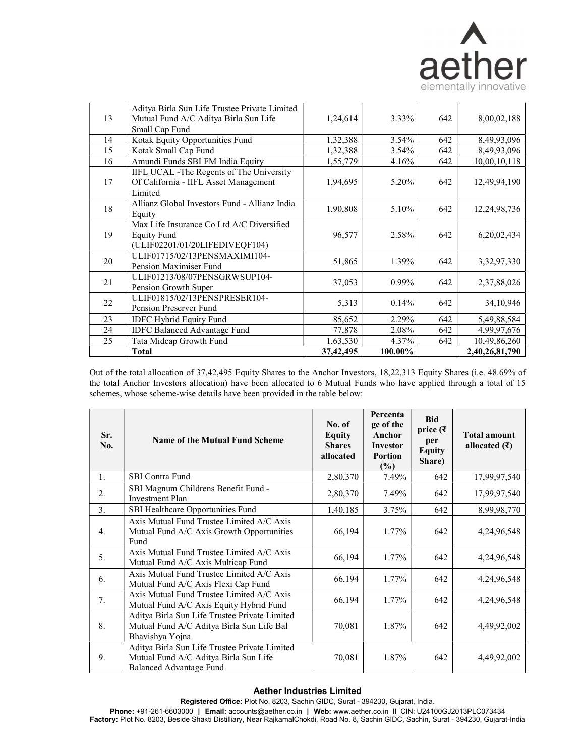

|    | Aditya Birla Sun Life Trustee Private Limited                                                     |             |         |     |                 |
|----|---------------------------------------------------------------------------------------------------|-------------|---------|-----|-----------------|
| 13 | Mutual Fund A/C Aditya Birla Sun Life                                                             | 1,24,614    | 3.33%   | 642 | 8,00,02,188     |
|    | Small Cap Fund                                                                                    |             |         |     |                 |
| 14 | Kotak Equity Opportunities Fund                                                                   | 1,32,388    | 3.54%   | 642 | 8,49,93,096     |
| 15 | Kotak Small Cap Fund                                                                              | 1,32,388    | 3.54%   | 642 | 8,49,93,096     |
| 16 | Amundi Funds SBI FM India Equity                                                                  | 1,55,779    | 4.16%   | 642 | 10,00,10,118    |
| 17 | IIFL UCAL - The Regents of The University<br>Of California - IIFL Asset Management<br>Limited     | 1,94,695    | 5.20%   | 642 | 12,49,94,190    |
| 18 | Allianz Global Investors Fund - Allianz India<br>Equity                                           | 1,90,808    | 5.10%   | 642 | 12, 24, 98, 736 |
| 19 | Max Life Insurance Co Ltd A/C Diversified<br><b>Equity Fund</b><br>(ULIF02201/01/20LIFEDIVEQF104) | 96,577      | 2.58%   | 642 | 6,20,02,434     |
| 20 | ULIF01715/02/13PENSMAXIMI104-<br>Pension Maximiser Fund                                           | 51,865      | 1.39%   | 642 | 3,32,97,330     |
| 21 | ULIF01213/08/07PENSGRWSUP104-<br>Pension Growth Super                                             | 37,053      | 0.99%   | 642 | 2,37,88,026     |
| 22 | ULIF01815/02/13PENSPRESER104-<br>Pension Preserver Fund                                           | 5,313       | 0.14%   | 642 | 34, 10, 946     |
| 23 | <b>IDFC Hybrid Equity Fund</b>                                                                    | 85,652      | 2.29%   | 642 | 5,49,88,584     |
| 24 | <b>IDFC Balanced Advantage Fund</b>                                                               | 77,878      | 2.08%   | 642 | 4,99,97,676     |
| 25 | Tata Midcap Growth Fund                                                                           | 1,63,530    | 4.37%   | 642 | 10,49,86,260    |
|    | Total                                                                                             | 37, 42, 495 | 100.00% |     | 2,40,26,81,790  |

Out of the total allocation of 37,42,495 Equity Shares to the Anchor Investors, 18,22,313 Equity Shares (i.e. 48.69% of the total Anchor Investors allocation) have been allocated to 6 Mutual Funds who have applied through a total of 15 schemes, whose scheme-wise details have been provided in the table below:

| Sr.<br>No. | <b>Name of the Mutual Fund Scheme</b>                                                                             | No. of<br>Equity<br><b>Shares</b><br>allocated | Percenta<br>ge of the<br>Anchor<br><b>Investor</b><br>Portion<br>(%) | <b>Bid</b><br>price $(\bar{z})$<br>per<br><b>Equity</b><br>Share) | <b>Total amount</b><br>allocated $(₹)$ |
|------------|-------------------------------------------------------------------------------------------------------------------|------------------------------------------------|----------------------------------------------------------------------|-------------------------------------------------------------------|----------------------------------------|
| 1.         | SBI Contra Fund                                                                                                   | 2,80,370                                       | 7.49%                                                                | 642                                                               | 17,99,97,540                           |
| 2.         | SBI Magnum Childrens Benefit Fund -<br><b>Investment Plan</b>                                                     | 2,80,370                                       | 7.49%                                                                | 642                                                               | 17,99,97,540                           |
| 3.         | SBI Healthcare Opportunities Fund                                                                                 | 1,40,185                                       | 3.75%                                                                | 642                                                               | 8,99,98,770                            |
| 4.         | Axis Mutual Fund Trustee Limited A/C Axis<br>Mutual Fund A/C Axis Growth Opportunities<br>Fund                    | 66,194                                         | 1.77%                                                                | 642                                                               | 4,24,96,548                            |
| 5.         | Axis Mutual Fund Trustee Limited A/C Axis<br>Mutual Fund A/C Axis Multicap Fund                                   | 66,194                                         | 1.77%                                                                | 642                                                               | 4,24,96,548                            |
| 6.         | Axis Mutual Fund Trustee Limited A/C Axis<br>Mutual Fund A/C Axis Flexi Cap Fund                                  | 66,194                                         | 1.77%                                                                | 642                                                               | 4,24,96,548                            |
| 7.         | Axis Mutual Fund Trustee Limited A/C Axis<br>Mutual Fund A/C Axis Equity Hybrid Fund                              | 66,194                                         | 1.77%                                                                | 642                                                               | 4,24,96,548                            |
| 8.         | Aditya Birla Sun Life Trustee Private Limited<br>Mutual Fund A/C Aditya Birla Sun Life Bal<br>Bhavishya Yojna     | 70,081                                         | 1.87%                                                                | 642                                                               | 4,49,92,002                            |
| 9.         | Aditya Birla Sun Life Trustee Private Limited<br>Mutual Fund A/C Aditya Birla Sun Life<br>Balanced Advantage Fund | 70,081                                         | 1.87%                                                                | 642                                                               | 4,49,92,002                            |

## Aether Industries Limited

Registered Office: Plot No. 8203, Sachin GIDC, Surat - 394230, Gujarat, India.

**Phone:** +91-261-6603000 || **Email:** <u>accounts@aether.co.in</u> || **Web:** www.aether.co.in II CIN: U24100GJ2013PLC073434 **Factory:** Plot No. 8203, Beside Shakti Distilliary, Near RajkamalChokdi, Road No. 8, Sachin GIDC, Sachin, Surat - 394230, Gujarat-India